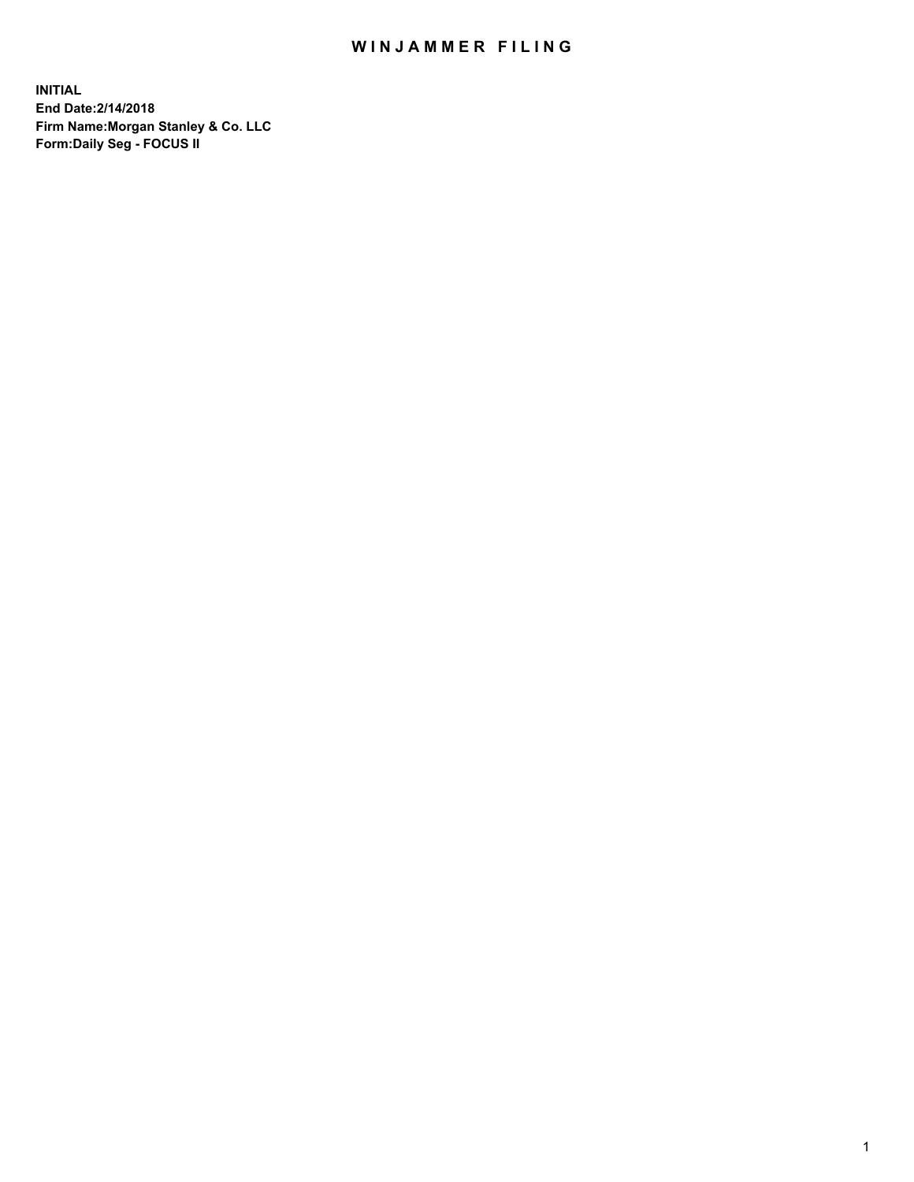### WIN JAMMER FILING

**INITIAL End Date:2/14/2018 Firm Name:Morgan Stanley & Co. LLC Form:Daily Seg - FOCUS II**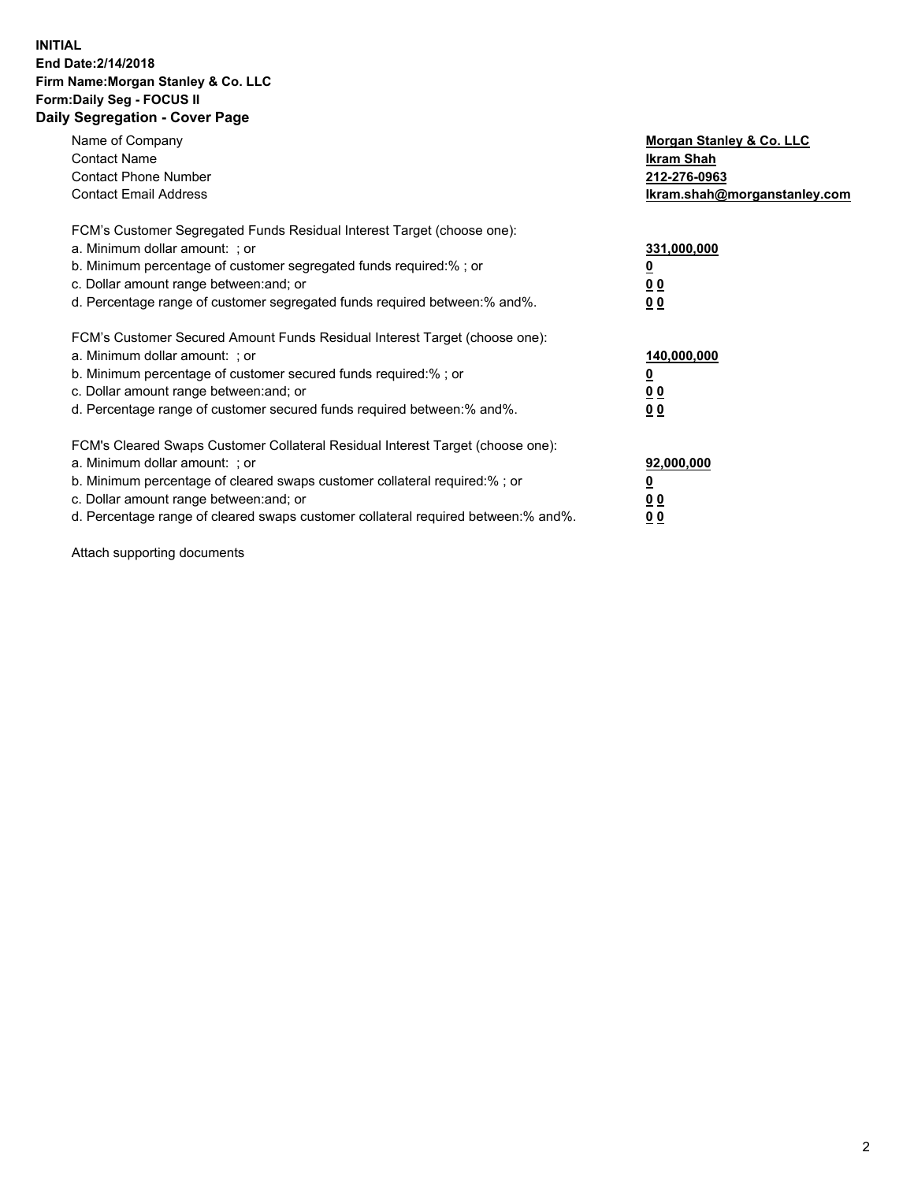#### **INITIAL End Date:2/14/2018 Firm Name:Morgan Stanley & Co. LLC Form:Daily Seg - FOCUS II Daily Segregation - Cover Page**

| Name of Company                                                                   | Morgan Stanley & Co. LLC     |
|-----------------------------------------------------------------------------------|------------------------------|
| <b>Contact Name</b>                                                               | Ikram Shah                   |
| <b>Contact Phone Number</b>                                                       | 212-276-0963                 |
| <b>Contact Email Address</b>                                                      | lkram.shah@morganstanley.com |
| FCM's Customer Segregated Funds Residual Interest Target (choose one):            |                              |
| a. Minimum dollar amount: ; or                                                    | 331,000,000                  |
| b. Minimum percentage of customer segregated funds required:%; or                 |                              |
| c. Dollar amount range between: and; or                                           | 00                           |
| d. Percentage range of customer segregated funds required between: % and %.       | 0 <sub>0</sub>               |
|                                                                                   |                              |
| FCM's Customer Secured Amount Funds Residual Interest Target (choose one):        |                              |
| a. Minimum dollar amount: ; or                                                    | 140,000,000                  |
| b. Minimum percentage of customer secured funds required:%; or                    |                              |
| c. Dollar amount range between: and; or                                           | 00                           |
| d. Percentage range of customer secured funds required between: % and %.          | 0 <sub>0</sub>               |
|                                                                                   |                              |
| FCM's Cleared Swaps Customer Collateral Residual Interest Target (choose one):    |                              |
| a. Minimum dollar amount: ; or                                                    | 92,000,000                   |
| b. Minimum percentage of cleared swaps customer collateral required:% ; or        | <u>0</u>                     |
| c. Dollar amount range between: and; or                                           | <u>00</u>                    |
| d. Percentage range of cleared swaps customer collateral required between:% and%. | 00                           |

Attach supporting documents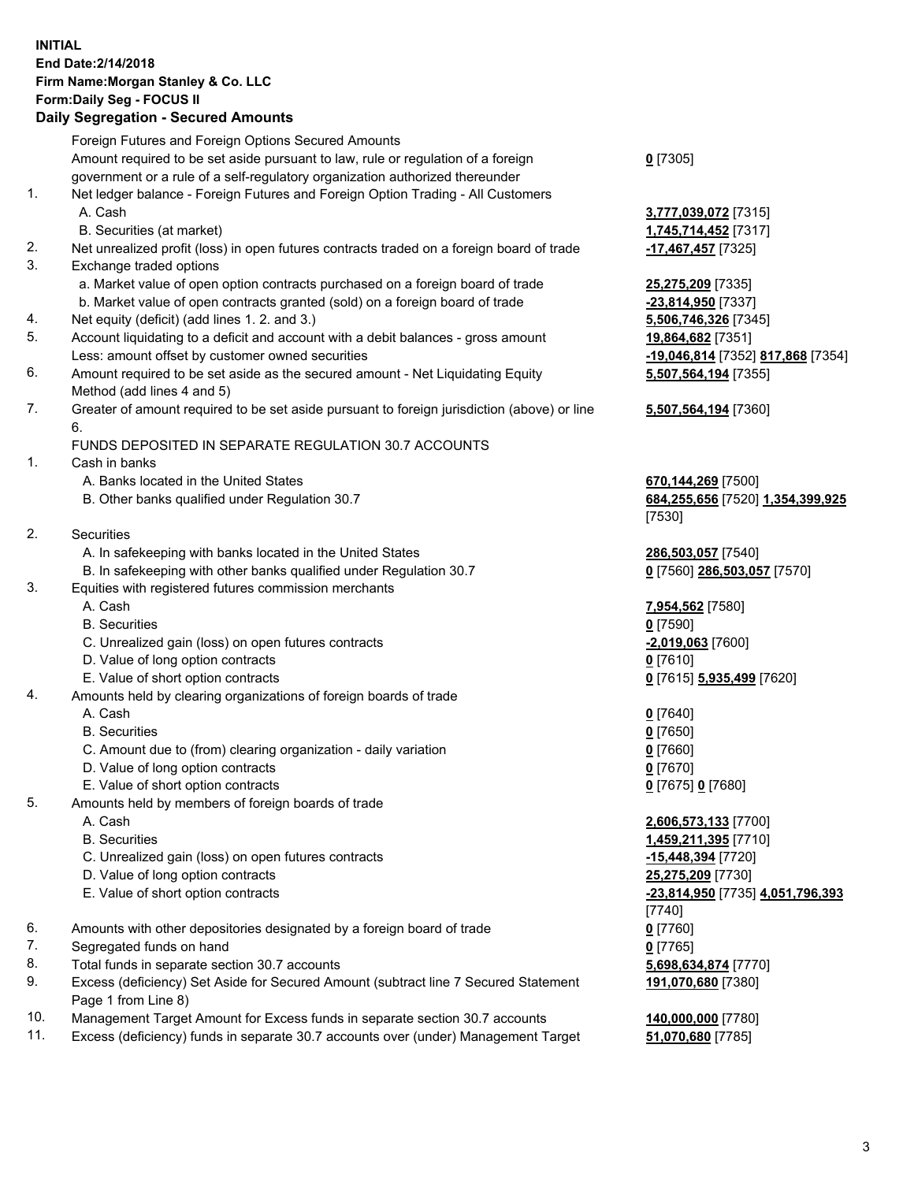### **INITIAL End Date:2/14/2018 Firm Name:Morgan Stanley & Co. LLC Form:Daily Seg - FOCUS II**

# **Daily Segregation - Secured Amounts**

|    | <u>, pany ovyrvyatron ovodrod Amodrite</u>                                                                 |                                   |
|----|------------------------------------------------------------------------------------------------------------|-----------------------------------|
|    | Foreign Futures and Foreign Options Secured Amounts                                                        |                                   |
|    | Amount required to be set aside pursuant to law, rule or regulation of a foreign                           | $0$ [7305]                        |
|    | government or a rule of a self-regulatory organization authorized thereunder                               |                                   |
| 1. | Net ledger balance - Foreign Futures and Foreign Option Trading - All Customers                            |                                   |
|    | A. Cash                                                                                                    | 3,777,039,072 [7315]              |
|    | B. Securities (at market)                                                                                  | 1,745,714,452 [7317]              |
| 2. | Net unrealized profit (loss) in open futures contracts traded on a foreign board of trade                  | -17,467,457 [7325]                |
| 3. | Exchange traded options                                                                                    |                                   |
|    | a. Market value of open option contracts purchased on a foreign board of trade                             | 25,275,209 [7335]                 |
|    | b. Market value of open contracts granted (sold) on a foreign board of trade                               | -23,814,950 [7337]                |
| 4. | Net equity (deficit) (add lines 1.2. and 3.)                                                               | 5,506,746,326 [7345]              |
| 5. | Account liquidating to a deficit and account with a debit balances - gross amount                          | 19,864,682 [7351]                 |
|    | Less: amount offset by customer owned securities                                                           | -19,046,814 [7352] 817,868 [7354] |
| 6. | Amount required to be set aside as the secured amount - Net Liquidating Equity                             | 5,507,564,194 [7355]              |
|    | Method (add lines 4 and 5)                                                                                 |                                   |
| 7. | Greater of amount required to be set aside pursuant to foreign jurisdiction (above) or line                | 5,507,564,194 [7360]              |
|    | 6.                                                                                                         |                                   |
|    | FUNDS DEPOSITED IN SEPARATE REGULATION 30.7 ACCOUNTS                                                       |                                   |
| 1. | Cash in banks                                                                                              |                                   |
|    | A. Banks located in the United States                                                                      | 670,144,269 [7500]                |
|    | B. Other banks qualified under Regulation 30.7                                                             | 684,255,656 [7520] 1,354,399,925  |
|    |                                                                                                            | [7530]                            |
| 2. | Securities                                                                                                 |                                   |
|    | A. In safekeeping with banks located in the United States                                                  | 286,503,057 [7540]                |
|    | B. In safekeeping with other banks qualified under Regulation 30.7                                         | 0 [7560] 286,503,057 [7570]       |
| 3. | Equities with registered futures commission merchants                                                      |                                   |
|    | A. Cash                                                                                                    | 7,954,562 [7580]                  |
|    | <b>B.</b> Securities                                                                                       | $0$ [7590]                        |
|    | C. Unrealized gain (loss) on open futures contracts                                                        | <u>-2,019,063</u> [7600]          |
|    | D. Value of long option contracts                                                                          | $0$ [7610]                        |
|    | E. Value of short option contracts                                                                         | 0 [7615] 5,935,499 [7620]         |
| 4. | Amounts held by clearing organizations of foreign boards of trade                                          |                                   |
|    | A. Cash                                                                                                    | $0$ [7640]                        |
|    | <b>B.</b> Securities                                                                                       | $0$ [7650]                        |
|    | C. Amount due to (from) clearing organization - daily variation                                            | $0$ [7660]                        |
|    | D. Value of long option contracts                                                                          | $0$ [7670]                        |
|    | E. Value of short option contracts                                                                         | 0 [7675] 0 [7680]                 |
| 5. | Amounts held by members of foreign boards of trade                                                         |                                   |
|    | A. Cash                                                                                                    | 2,606,573,133 [7700]              |
|    | <b>B.</b> Securities                                                                                       | 1,459,211,395 [7710]              |
|    | C. Unrealized gain (loss) on open futures contracts                                                        | <u>-15,448,394</u> [7720]         |
|    | D. Value of long option contracts                                                                          |                                   |
|    | E. Value of short option contracts                                                                         | 25,275,209 [7730]                 |
|    |                                                                                                            | -23,814,950 [7735] 4,051,796,393  |
|    |                                                                                                            | [7740]                            |
| 6. | Amounts with other depositories designated by a foreign board of trade                                     | $0$ [7760]                        |
| 7. | Segregated funds on hand                                                                                   | $0$ [7765]                        |
| 8. | Total funds in separate section 30.7 accounts                                                              | 5,698,634,874 [7770]              |
| 9. | Excess (deficiency) Set Aside for Secured Amount (subtract line 7 Secured Statement<br>Page 1 from Line 8) | 191,070,680 [7380]                |

- 10. Management Target Amount for Excess funds in separate section 30.7 accounts **140,000,000** [7780]
- 11. Excess (deficiency) funds in separate 30.7 accounts over (under) Management Target **51,070,680** [7785]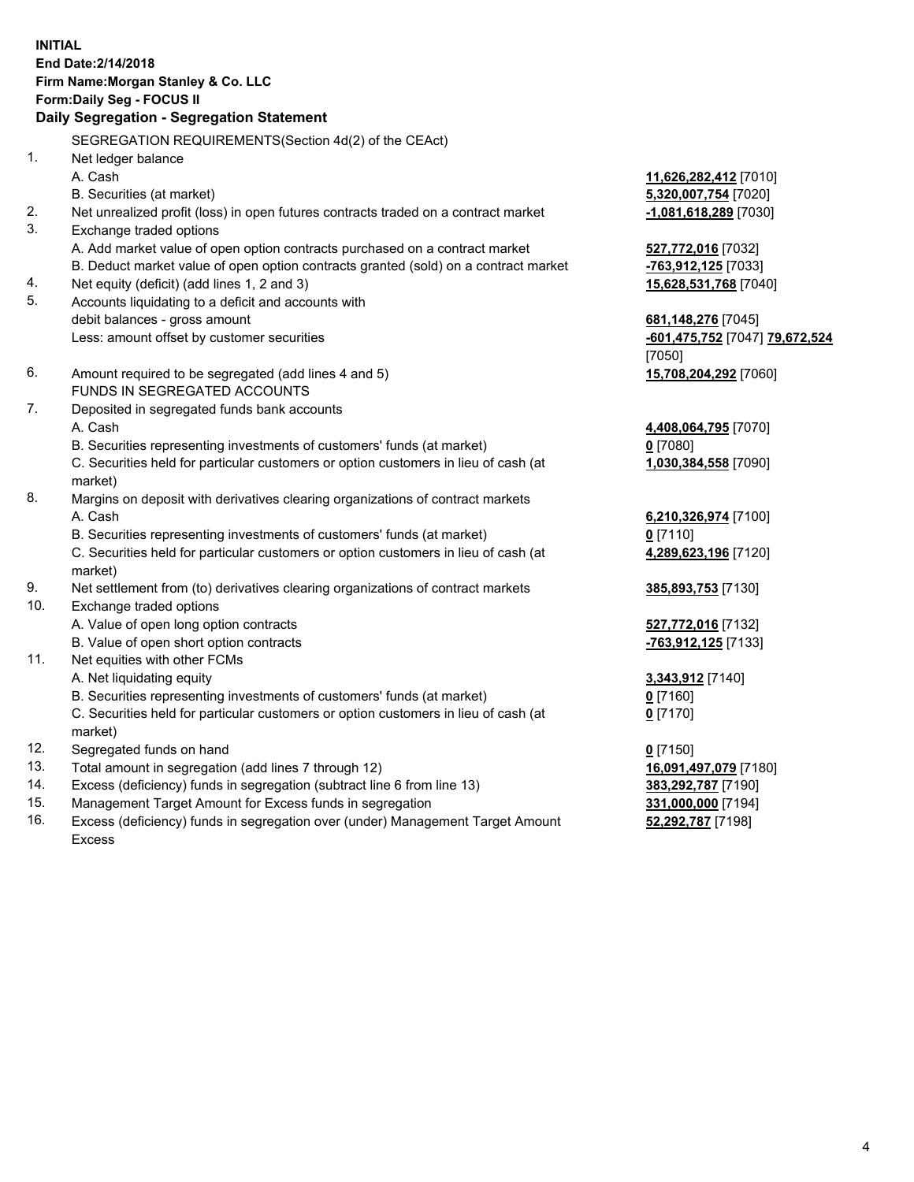### **INITIAL End Date:2/14/2018 Firm Name:Morgan Stanley & Co. LLC Form:Daily Seg - FOCUS II**

# **Daily Segregation - Segregation Statement**

SEGREGATION REQUIREMENTS(Section 4d(2) of the CEAct) 1. Net ledger balance A. Cash **11,626,282,412** [7010] B. Securities (at market) **5,320,007,754** [7020] 2. Net unrealized profit (loss) in open futures contracts traded on a contract market **-1,081,618,289** [7030] 3. Exchange traded options A. Add market value of open option contracts purchased on a contract market **527,772,016** [7032] B. Deduct market value of open option contracts granted (sold) on a contract market **-763,912,125** [7033] 4. Net equity (deficit) (add lines 1, 2 and 3) **15,628,531,768** [7040] 5. Accounts liquidating to a deficit and accounts with debit balances - gross amount **681,148,276** [7045] Less: amount offset by customer securities **-601,475,752** [7047] **79,672,524** [7050] 6. Amount required to be segregated (add lines 4 and 5) **15,708,204,292** [7060] FUNDS IN SEGREGATED ACCOUNTS 7. Deposited in segregated funds bank accounts A. Cash **4,408,064,795** [7070] B. Securities representing investments of customers' funds (at market) **0** [7080] C. Securities held for particular customers or option customers in lieu of cash (at market) 8. Margins on deposit with derivatives clearing organizations of contract markets A. Cash **6,210,326,974** [7100] B. Securities representing investments of customers' funds (at market) **0** [7110] C. Securities held for particular customers or option customers in lieu of cash (at market) 9. Net settlement from (to) derivatives clearing organizations of contract markets **385,893,753** [7130] 10. Exchange traded options A. Value of open long option contracts **527,772,016** [7132] B. Value of open short option contracts **-763,912,125** [7133] 11. Net equities with other FCMs A. Net liquidating equity **3,343,912** [7140] B. Securities representing investments of customers' funds (at market) **0** [7160] C. Securities held for particular customers or option customers in lieu of cash (at market) **0** [7170] 12. Segregated funds on hand **0** [7150] 13. Total amount in segregation (add lines 7 through 12) **16,091,497,079** [7180] 14. Excess (deficiency) funds in segregation (subtract line 6 from line 13) **383,292,787** [7190] 15. Management Target Amount for Excess funds in segregation **331,000,000** [7194]

16. Excess (deficiency) funds in segregation over (under) Management Target Amount Excess

**1,030,384,558** [7090]

**4,289,623,196** [7120]

**52,292,787** [7198]